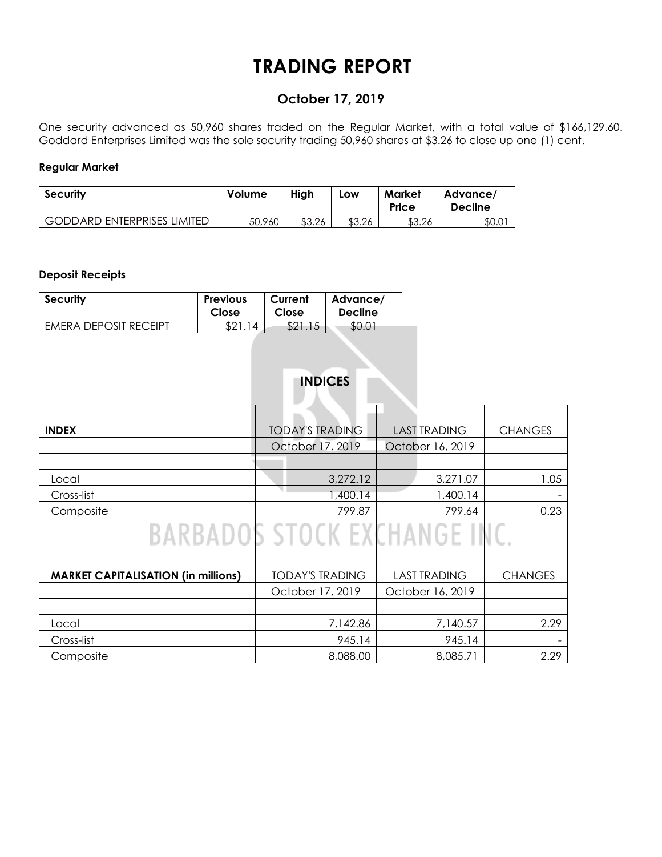# **TRADING REPORT**

## **October 17, 2019**

One security advanced as 50,960 shares traded on the Regular Market, with a total value of \$166,129.60. Goddard Enterprises Limited was the sole security trading 50,960 shares at \$3.26 to close up one (1) cent.

### **Regular Market**

| <b>Security</b>                    | Volume | High   | Low    | Market<br>Price | Advance/<br><b>Decline</b> |  |
|------------------------------------|--------|--------|--------|-----------------|----------------------------|--|
| <b>GODDARD ENTERPRISES LIMITED</b> | 50,960 | \$3.26 | \$3.26 | \$3.26          | \$0.0                      |  |

### **Deposit Receipts**

| <b>Security</b>              | <b>Previous</b>              | Current | Advance/       |
|------------------------------|------------------------------|---------|----------------|
|                              | Close                        | Close   | <b>Decline</b> |
| <b>FMFRA DEPOSIT RECEIPT</b> | <b>ດ</b> 1<br>$\overline{4}$ | \$21.15 | \$0.01         |

# **INDICES**

| <b>INDEX</b>                               | <b>TODAY'S TRADING</b> | <b>LAST TRADING</b> | <b>CHANGES</b> |  |
|--------------------------------------------|------------------------|---------------------|----------------|--|
|                                            | October 17, 2019       | October 16, 2019    |                |  |
|                                            |                        |                     |                |  |
| Local                                      | 3,272.12               | 3,271.07            | 1.05           |  |
| Cross-list                                 | 1,400.14               | 1,400.14            |                |  |
| Composite                                  | 799.87                 | 799.64              | 0.23           |  |
|                                            |                        |                     |                |  |
|                                            |                        |                     |                |  |
|                                            |                        |                     |                |  |
| <b>MARKET CAPITALISATION (in millions)</b> | <b>TODAY'S TRADING</b> | <b>LAST TRADING</b> | <b>CHANGES</b> |  |
|                                            | October 17, 2019       | October 16, 2019    |                |  |
|                                            |                        |                     |                |  |
| Local                                      | 7,142.86               | 7,140.57            | 2.29           |  |
| Cross-list                                 | 945.14                 | 945.14              |                |  |
| Composite                                  | 8,088.00               | 8,085.71            | 2.29           |  |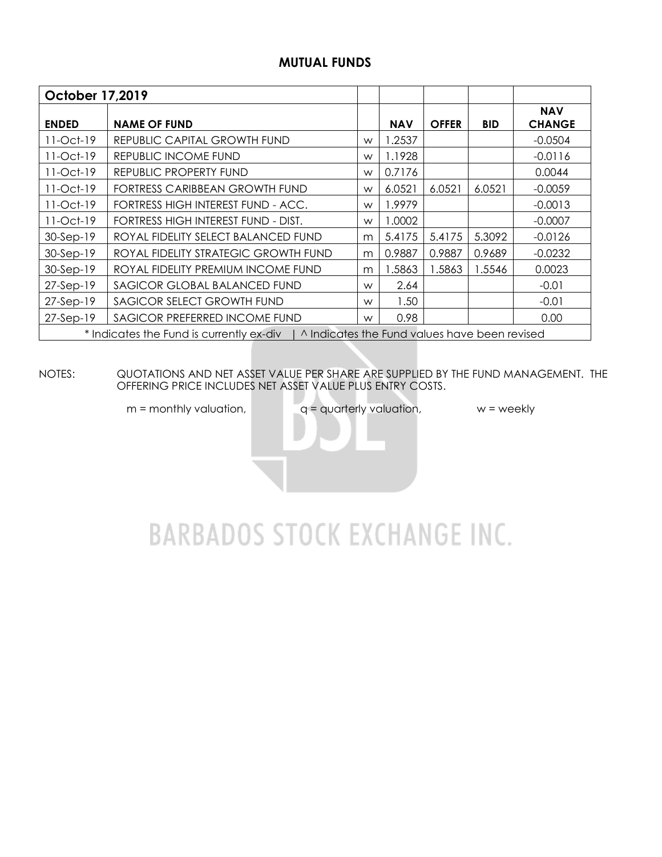## **MUTUAL FUNDS**

| <b>October 17,2019</b> |                                                                                           |   |            |              |            |                             |
|------------------------|-------------------------------------------------------------------------------------------|---|------------|--------------|------------|-----------------------------|
| <b>ENDED</b>           | <b>NAME OF FUND</b>                                                                       |   | <b>NAV</b> | <b>OFFER</b> | <b>BID</b> | <b>NAV</b><br><b>CHANGE</b> |
| $11-Oct-19$            | REPUBLIC CAPITAL GROWTH FUND                                                              | W | 1.2537     |              |            | $-0.0504$                   |
| $11-Oct-19$            | REPUBLIC INCOME FUND                                                                      | W | 1.1928     |              |            | $-0.0116$                   |
| 11-Oct-19              | REPUBLIC PROPERTY FUND                                                                    | W | 0.7176     |              |            | 0.0044                      |
| 11-Oct-19              | FORTRESS CARIBBEAN GROWTH FUND                                                            | W | 6.0521     | 6.0521       | 6.0521     | $-0.0059$                   |
| $11-Oct-19$            | FORTRESS HIGH INTEREST FUND - ACC.                                                        | W | 1.9979     |              |            | $-0.0013$                   |
| 11-Oct-19              | FORTRESS HIGH INTEREST FUND - DIST.                                                       | W | 1.0002     |              |            | $-0.0007$                   |
| 30-Sep-19              | ROYAL FIDELITY SELECT BALANCED FUND                                                       | m | 5.4175     | 5.4175       | 5.3092     | $-0.0126$                   |
| 30-Sep-19              | ROYAL FIDELITY STRATEGIC GROWTH FUND                                                      | m | 0.9887     | 0.9887       | 0.9689     | $-0.0232$                   |
| 30-Sep-19              | ROYAL FIDELITY PREMIUM INCOME FUND                                                        | m | 1.5863     | 1.5863       | 1.5546     | 0.0023                      |
| $27-Sep-19$            | SAGICOR GLOBAL BALANCED FUND                                                              | W | 2.64       |              |            | $-0.01$                     |
| 27-Sep-19              | SAGICOR SELECT GROWTH FUND                                                                | W | 1.50       |              |            | $-0.01$                     |
| 27-Sep-19              | SAGICOR PREFERRED INCOME FUND                                                             | W | 0.98       |              |            | 0.00                        |
|                        | * Indicates the Fund is currently ex-div<br>A Indicates the Fund values have been revised |   |            |              |            |                             |

NOTES: QUOTATIONS AND NET ASSET VALUE PER SHARE ARE SUPPLIED BY THE FUND MANAGEMENT. THE OFFERING PRICE INCLUDES NET ASSET VALUE PLUS ENTRY COSTS.

 $m =$  monthly valuation,  $q =$  quarterly valuation,  $w =$  weekly

# **BARBADOS STOCK EXCHANGE INC.**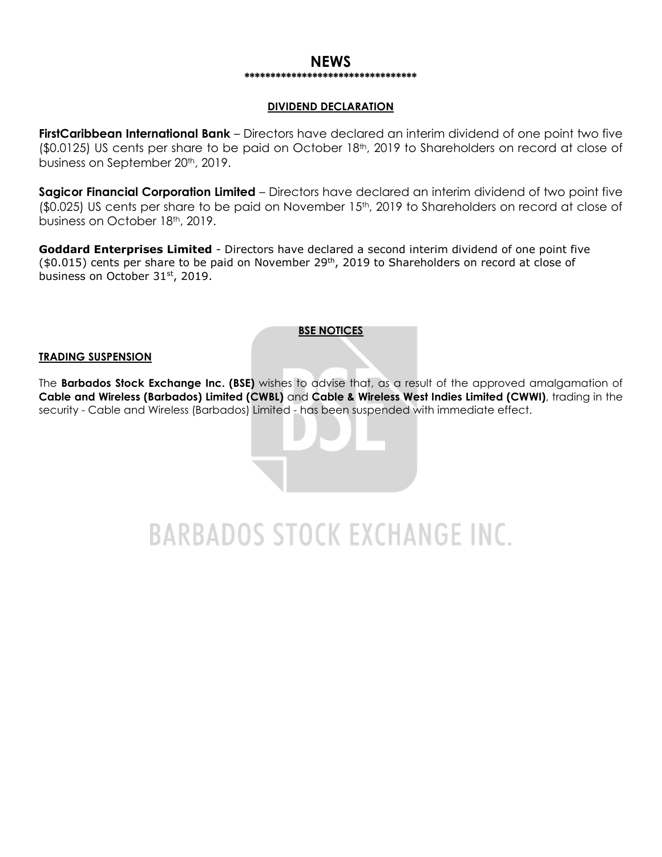### **NEWS \*\*\*\*\*\*\*\*\*\*\*\*\*\*\*\*\*\*\*\*\*\*\*\*\*\*\*\*\*\*\*\*\***

### **DIVIDEND DECLARATION**

**FirstCaribbean International Bank** – Directors have declared an interim dividend of one point two five (\$0.0125) US cents per share to be paid on October 18<sup>th</sup>, 2019 to Shareholders on record at close of business on September 20<sup>th</sup>, 2019.

**Sagicor Financial Corporation Limited** – Directors have declared an interim dividend of two point five (\$0.025) US cents per share to be paid on November 15<sup>th</sup>, 2019 to Shareholders on record at close of business on October 18th, 2019.

**Goddard Enterprises Limited** - Directors have declared a second interim dividend of one point five (\$0.015) cents per share to be paid on November 29th, 2019 to Shareholders on record at close of business on October 31st, 2019.

### **BSE NOTICES**

#### **TRADING SUSPENSION**

The **Barbados Stock Exchange Inc. (BSE)** wishes to advise that, as a result of the approved amalgamation of **Cable and Wireless (Barbados) Limited (CWBL)** and **Cable & Wireless West Indies Limited (CWWI)**, trading in the security - Cable and Wireless (Barbados) Limited - has been suspended with immediate effect.

**BARBADOS STOCK EXCHANGE INC.**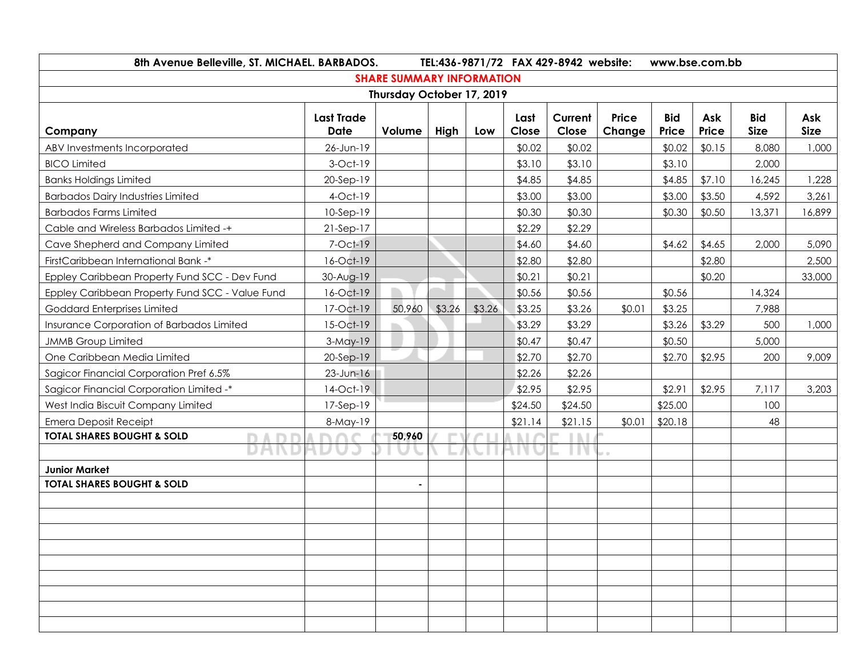| 8th Avenue Belleville, ST. MICHAEL. BARBADOS.   |                   |                                  |        |        | TEL:436-9871/72 FAX 429-8942 website: |         | www.bse.com.bb |            |        |             |             |  |
|-------------------------------------------------|-------------------|----------------------------------|--------|--------|---------------------------------------|---------|----------------|------------|--------|-------------|-------------|--|
|                                                 |                   | <b>SHARE SUMMARY INFORMATION</b> |        |        |                                       |         |                |            |        |             |             |  |
| Thursday October 17, 2019                       |                   |                                  |        |        |                                       |         |                |            |        |             |             |  |
|                                                 | <b>Last Trade</b> |                                  |        |        | Last                                  | Current | <b>Price</b>   | <b>Bid</b> | Ask    | <b>Bid</b>  | Ask         |  |
| Company                                         | <b>Date</b>       | Volume                           | High   | Low    | Close                                 | Close   | Change         | Price      | Price  | <b>Size</b> | <b>Size</b> |  |
| ABV Investments Incorporated                    | 26-Jun-19         |                                  |        |        | \$0.02                                | \$0.02  |                | \$0.02     | \$0.15 | 8,080       | 1,000       |  |
| <b>BICO Limited</b>                             | 3-Oct-19          |                                  |        |        | \$3.10                                | \$3.10  |                | \$3.10     |        | 2,000       |             |  |
| <b>Banks Holdings Limited</b>                   | 20-Sep-19         |                                  |        |        | \$4.85                                | \$4.85  |                | \$4.85     | \$7.10 | 16,245      | 1,228       |  |
| <b>Barbados Dairy Industries Limited</b>        | 4-Oct-19          |                                  |        |        | \$3.00                                | \$3.00  |                | \$3.00     | \$3.50 | 4,592       | 3,261       |  |
| <b>Barbados Farms Limited</b>                   | 10-Sep-19         |                                  |        |        | \$0.30                                | \$0.30  |                | \$0.30     | \$0.50 | 13,371      | 16,899      |  |
| Cable and Wireless Barbados Limited -+          | $21-Sep-17$       |                                  |        |        | \$2.29                                | \$2.29  |                |            |        |             |             |  |
| Cave Shepherd and Company Limited               | 7-Oct-19          |                                  |        |        | \$4.60                                | \$4.60  |                | \$4.62     | \$4.65 | 2,000       | 5,090       |  |
| FirstCaribbean International Bank -*            | 16-Oct-19         |                                  |        |        | \$2.80                                | \$2.80  |                |            | \$2.80 |             | 2,500       |  |
| Eppley Caribbean Property Fund SCC - Dev Fund   | 30-Aug-19         |                                  |        |        | \$0.21                                | \$0.21  |                |            | \$0.20 |             | 33,000      |  |
| Eppley Caribbean Property Fund SCC - Value Fund | 16-Oct-19         |                                  |        |        | \$0.56                                | \$0.56  |                | \$0.56     |        | 14,324      |             |  |
| Goddard Enterprises Limited                     | 17-Oct-19         | 50,960                           | \$3.26 | \$3.26 | \$3.25                                | \$3.26  | \$0.01         | \$3.25     |        | 7,988       |             |  |
| Insurance Corporation of Barbados Limited       | 15-Oct-19         |                                  |        |        | \$3.29                                | \$3.29  |                | \$3.26     | \$3.29 | 500         | 1,000       |  |
| <b>JMMB</b> Group Limited                       | $3-May-19$        |                                  |        |        | \$0.47                                | \$0.47  |                | \$0.50     |        | 5,000       |             |  |
| One Caribbean Media Limited                     | 20-Sep-19         |                                  |        |        | \$2.70                                | \$2.70  |                | \$2.70     | \$2.95 | 200         | 9,009       |  |
| Sagicor Financial Corporation Pref 6.5%         | $23$ -Jun-16      |                                  |        |        | \$2.26                                | \$2.26  |                |            |        |             |             |  |
| Sagicor Financial Corporation Limited -*        | 14-Oct-19         |                                  |        |        | \$2.95                                | \$2.95  |                | \$2.91     | \$2.95 | 7,117       | 3,203       |  |
| West India Biscuit Company Limited              | $17-Sep-19$       |                                  |        |        | \$24.50                               | \$24.50 |                | \$25.00    |        | 100         |             |  |
| <b>Emera Deposit Receipt</b>                    | 8-May-19          |                                  |        |        | \$21.14                               | \$21.15 | \$0.01         | \$20.18    |        | 48          |             |  |
| <b>TOTAL SHARES BOUGHT &amp; SOLD</b>           |                   | 50,960                           |        |        |                                       |         |                |            |        |             |             |  |
|                                                 |                   |                                  |        |        |                                       |         | $\rightarrow$  |            |        |             |             |  |
| <b>Junior Market</b>                            |                   |                                  |        |        |                                       |         |                |            |        |             |             |  |
| <b>TOTAL SHARES BOUGHT &amp; SOLD</b>           |                   |                                  |        |        |                                       |         |                |            |        |             |             |  |
|                                                 |                   |                                  |        |        |                                       |         |                |            |        |             |             |  |
|                                                 |                   |                                  |        |        |                                       |         |                |            |        |             |             |  |
|                                                 |                   |                                  |        |        |                                       |         |                |            |        |             |             |  |
|                                                 |                   |                                  |        |        |                                       |         |                |            |        |             |             |  |
|                                                 |                   |                                  |        |        |                                       |         |                |            |        |             |             |  |
|                                                 |                   |                                  |        |        |                                       |         |                |            |        |             |             |  |
|                                                 |                   |                                  |        |        |                                       |         |                |            |        |             |             |  |
|                                                 |                   |                                  |        |        |                                       |         |                |            |        |             |             |  |
|                                                 |                   |                                  |        |        |                                       |         |                |            |        |             |             |  |